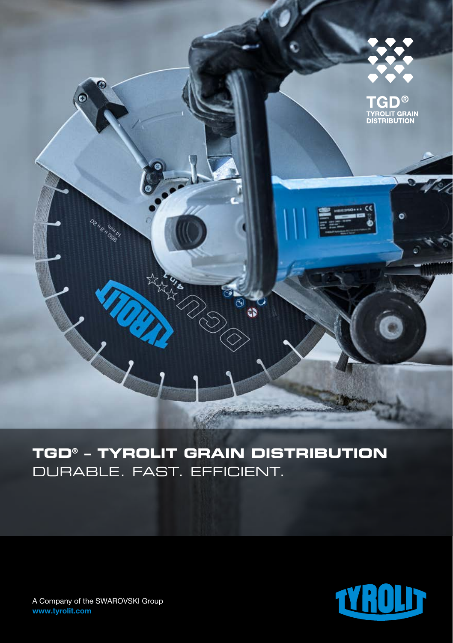

**TGD® – TYROLIT GRAIN DISTRIBUTION**  DURABLE. FAST. EFFICIENT.



A Company of the SWAROVSKI Group www.tyrolit.com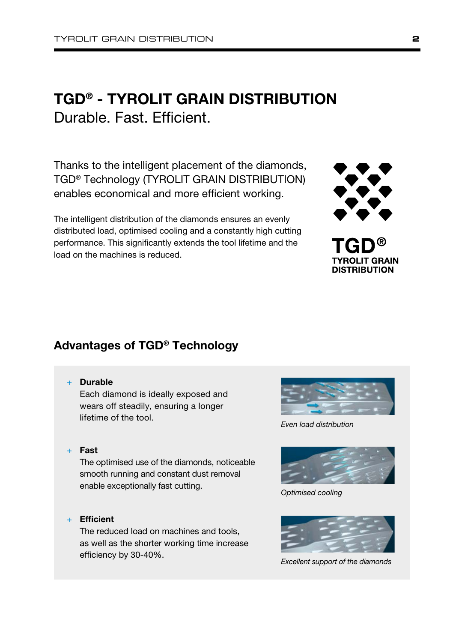# TGD® - TYROLIT GRAIN DISTRIBUTION Durable. Fast. Efficient.

Thanks to the intelligent placement of the diamonds, TGD® Technology (TYROLIT GRAIN DISTRIBUTION) enables economical and more efficient working.

The intelligent distribution of the diamonds ensures an evenly distributed load, optimised cooling and a constantly high cutting performance. This significantly extends the tool lifetime and the load on the machines is reduced.

## Advantages of TGD® Technology

#### + Durable

Each diamond is ideally exposed and wears off steadily, ensuring a longer lifetime of the tool.

+ Fast

The optimised use of the diamonds, noticeable smooth running and constant dust removal enable exceptionally fast cutting. *Optimised cooling*

+ Efficient

The reduced load on machines and tools, as well as the shorter working time increase efficiency by 30-40%. *Excellent support of the diamonds*



**TYROLIT GRAIN DISTRIBUTION** 

*Even load distribution*



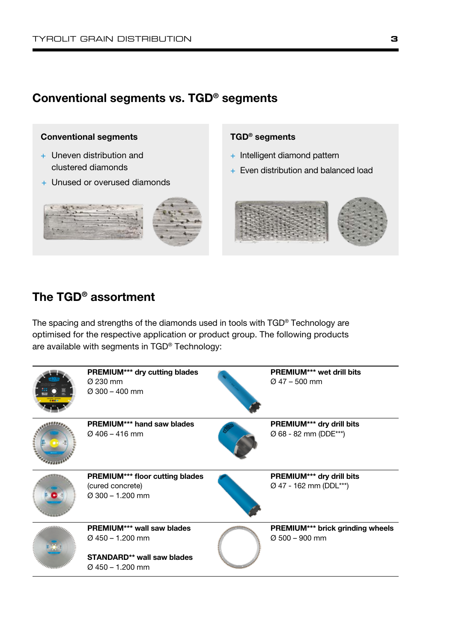### Conventional segments vs. TGD® segments



- + Uneven distribution and clustered diamonds
- + Unused or overused diamonds

#### TGD® segments

- + Intelligent diamond pattern
- + Even distribution and balanced load



### The TGD® assortment

The spacing and strengths of the diamonds used in tools with TGD® Technology are optimised for the respective application or product group. The following products are available with segments in TGD® Technology: